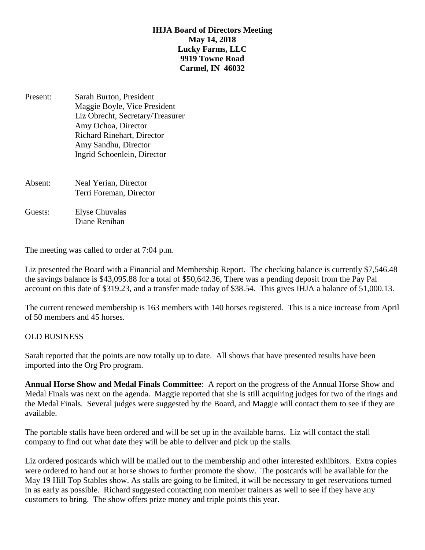## **IHJA Board of Directors Meeting May 14, 2018 Lucky Farms, LLC 9919 Towne Road Carmel, IN 46032**

- Present: Sarah Burton, President Maggie Boyle, Vice President Liz Obrecht, Secretary/Treasurer Amy Ochoa, Director Richard Rinehart, Director Amy Sandhu, Director Ingrid Schoenlein, Director
- Absent: Neal Yerian, Director Terri Foreman, Director
- Guests: Elyse Chuvalas Diane Renihan

The meeting was called to order at 7:04 p.m.

Liz presented the Board with a Financial and Membership Report. The checking balance is currently \$7,546.48 the savings balance is \$43,095.88 for a total of \$50,642.36, There was a pending deposit from the Pay Pal account on this date of \$319.23, and a transfer made today of \$38.54. This gives IHJA a balance of 51,000.13.

The current renewed membership is 163 members with 140 horses registered. This is a nice increase from April of 50 members and 45 horses.

## OLD BUSINESS

Sarah reported that the points are now totally up to date. All shows that have presented results have been imported into the Org Pro program.

**Annual Horse Show and Medal Finals Committee**: A report on the progress of the Annual Horse Show and Medal Finals was next on the agenda. Maggie reported that she is still acquiring judges for two of the rings and the Medal Finals. Several judges were suggested by the Board, and Maggie will contact them to see if they are available.

The portable stalls have been ordered and will be set up in the available barns. Liz will contact the stall company to find out what date they will be able to deliver and pick up the stalls.

Liz ordered postcards which will be mailed out to the membership and other interested exhibitors. Extra copies were ordered to hand out at horse shows to further promote the show. The postcards will be available for the May 19 Hill Top Stables show. As stalls are going to be limited, it will be necessary to get reservations turned in as early as possible. Richard suggested contacting non member trainers as well to see if they have any customers to bring. The show offers prize money and triple points this year.